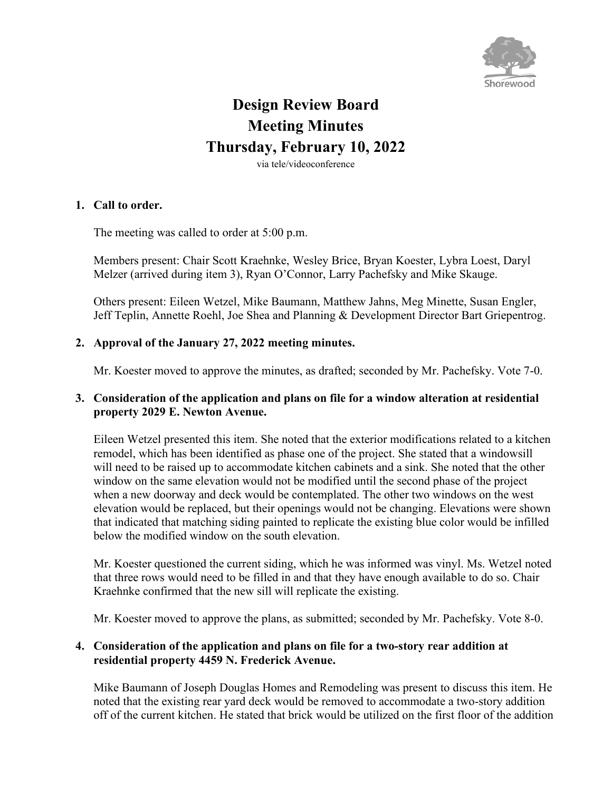

# **Design Review Board Meeting Minutes Thursday, February 10, 2022**

via tele/videoconference

#### **1. Call to order.**

The meeting was called to order at 5:00 p.m.

Members present: Chair Scott Kraehnke, Wesley Brice, Bryan Koester, Lybra Loest, Daryl Melzer (arrived during item 3), Ryan O'Connor, Larry Pachefsky and Mike Skauge.

Others present: Eileen Wetzel, Mike Baumann, Matthew Jahns, Meg Minette, Susan Engler, Jeff Teplin, Annette Roehl, Joe Shea and Planning & Development Director Bart Griepentrog.

## **2. Approval of the January 27, 2022 meeting minutes.**

Mr. Koester moved to approve the minutes, as drafted; seconded by Mr. Pachefsky. Vote 7-0.

## **3. Consideration of the application and plans on file for a window alteration at residential property 2029 E. Newton Avenue.**

Eileen Wetzel presented this item. She noted that the exterior modifications related to a kitchen remodel, which has been identified as phase one of the project. She stated that a windowsill will need to be raised up to accommodate kitchen cabinets and a sink. She noted that the other window on the same elevation would not be modified until the second phase of the project when a new doorway and deck would be contemplated. The other two windows on the west elevation would be replaced, but their openings would not be changing. Elevations were shown that indicated that matching siding painted to replicate the existing blue color would be infilled below the modified window on the south elevation.

Mr. Koester questioned the current siding, which he was informed was vinyl. Ms. Wetzel noted that three rows would need to be filled in and that they have enough available to do so. Chair Kraehnke confirmed that the new sill will replicate the existing.

Mr. Koester moved to approve the plans, as submitted; seconded by Mr. Pachefsky. Vote 8-0.

#### **4. Consideration of the application and plans on file for a two-story rear addition at residential property 4459 N. Frederick Avenue.**

Mike Baumann of Joseph Douglas Homes and Remodeling was present to discuss this item. He noted that the existing rear yard deck would be removed to accommodate a two-story addition off of the current kitchen. He stated that brick would be utilized on the first floor of the addition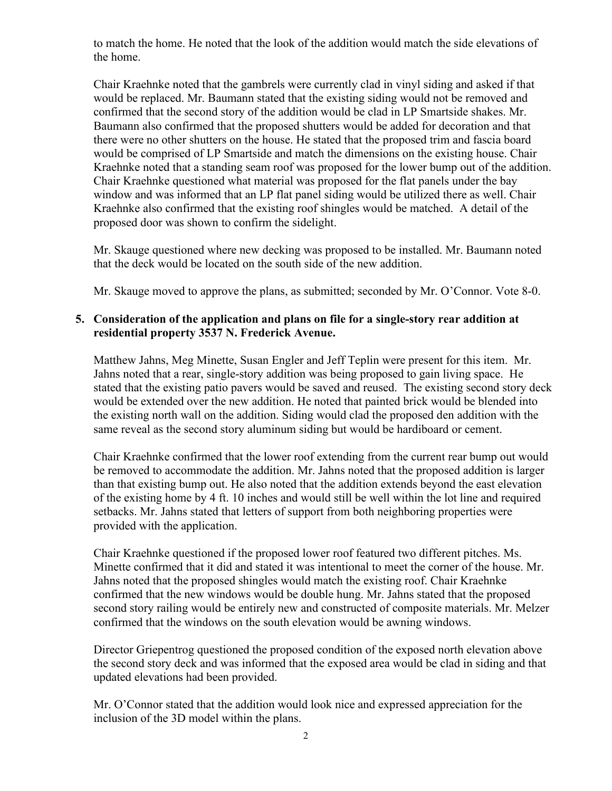to match the home. He noted that the look of the addition would match the side elevations of the home.

Chair Kraehnke noted that the gambrels were currently clad in vinyl siding and asked if that would be replaced. Mr. Baumann stated that the existing siding would not be removed and confirmed that the second story of the addition would be clad in LP Smartside shakes. Mr. Baumann also confirmed that the proposed shutters would be added for decoration and that there were no other shutters on the house. He stated that the proposed trim and fascia board would be comprised of LP Smartside and match the dimensions on the existing house. Chair Kraehnke noted that a standing seam roof was proposed for the lower bump out of the addition. Chair Kraehnke questioned what material was proposed for the flat panels under the bay window and was informed that an LP flat panel siding would be utilized there as well. Chair Kraehnke also confirmed that the existing roof shingles would be matched. A detail of the proposed door was shown to confirm the sidelight.

Mr. Skauge questioned where new decking was proposed to be installed. Mr. Baumann noted that the deck would be located on the south side of the new addition.

Mr. Skauge moved to approve the plans, as submitted; seconded by Mr. O'Connor. Vote 8-0.

## **5. Consideration of the application and plans on file for a single-story rear addition at residential property 3537 N. Frederick Avenue.**

Matthew Jahns, Meg Minette, Susan Engler and Jeff Teplin were present for this item. Mr. Jahns noted that a rear, single-story addition was being proposed to gain living space. He stated that the existing patio pavers would be saved and reused. The existing second story deck would be extended over the new addition. He noted that painted brick would be blended into the existing north wall on the addition. Siding would clad the proposed den addition with the same reveal as the second story aluminum siding but would be hardiboard or cement.

Chair Kraehnke confirmed that the lower roof extending from the current rear bump out would be removed to accommodate the addition. Mr. Jahns noted that the proposed addition is larger than that existing bump out. He also noted that the addition extends beyond the east elevation of the existing home by 4 ft. 10 inches and would still be well within the lot line and required setbacks. Mr. Jahns stated that letters of support from both neighboring properties were provided with the application.

Chair Kraehnke questioned if the proposed lower roof featured two different pitches. Ms. Minette confirmed that it did and stated it was intentional to meet the corner of the house. Mr. Jahns noted that the proposed shingles would match the existing roof. Chair Kraehnke confirmed that the new windows would be double hung. Mr. Jahns stated that the proposed second story railing would be entirely new and constructed of composite materials. Mr. Melzer confirmed that the windows on the south elevation would be awning windows.

Director Griepentrog questioned the proposed condition of the exposed north elevation above the second story deck and was informed that the exposed area would be clad in siding and that updated elevations had been provided.

Mr. O'Connor stated that the addition would look nice and expressed appreciation for the inclusion of the 3D model within the plans.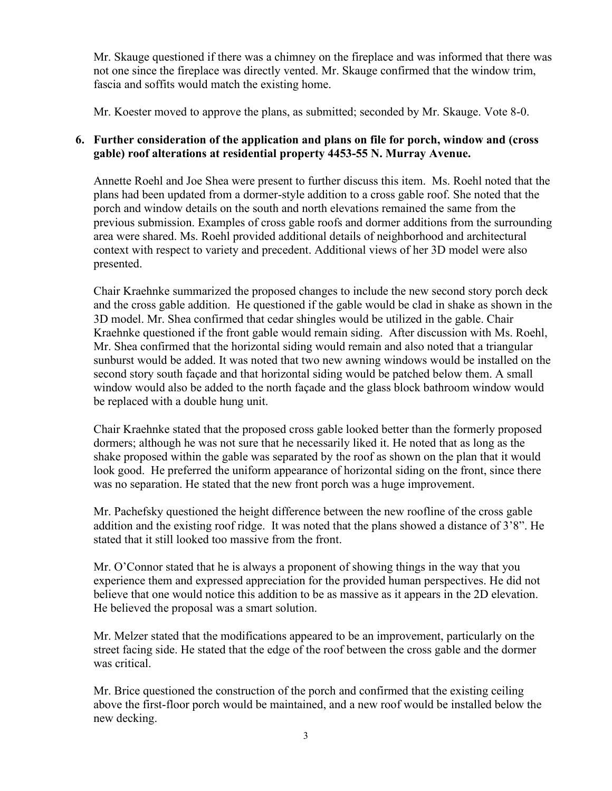Mr. Skauge questioned if there was a chimney on the fireplace and was informed that there was not one since the fireplace was directly vented. Mr. Skauge confirmed that the window trim, fascia and soffits would match the existing home.

Mr. Koester moved to approve the plans, as submitted; seconded by Mr. Skauge. Vote 8-0.

## **6. Further consideration of the application and plans on file for porch, window and (cross gable) roof alterations at residential property 4453-55 N. Murray Avenue.**

Annette Roehl and Joe Shea were present to further discuss this item. Ms. Roehl noted that the plans had been updated from a dormer-style addition to a cross gable roof. She noted that the porch and window details on the south and north elevations remained the same from the previous submission. Examples of cross gable roofs and dormer additions from the surrounding area were shared. Ms. Roehl provided additional details of neighborhood and architectural context with respect to variety and precedent. Additional views of her 3D model were also presented.

Chair Kraehnke summarized the proposed changes to include the new second story porch deck and the cross gable addition. He questioned if the gable would be clad in shake as shown in the 3D model. Mr. Shea confirmed that cedar shingles would be utilized in the gable. Chair Kraehnke questioned if the front gable would remain siding. After discussion with Ms. Roehl, Mr. Shea confirmed that the horizontal siding would remain and also noted that a triangular sunburst would be added. It was noted that two new awning windows would be installed on the second story south façade and that horizontal siding would be patched below them. A small window would also be added to the north façade and the glass block bathroom window would be replaced with a double hung unit.

Chair Kraehnke stated that the proposed cross gable looked better than the formerly proposed dormers; although he was not sure that he necessarily liked it. He noted that as long as the shake proposed within the gable was separated by the roof as shown on the plan that it would look good. He preferred the uniform appearance of horizontal siding on the front, since there was no separation. He stated that the new front porch was a huge improvement.

Mr. Pachefsky questioned the height difference between the new roofline of the cross gable addition and the existing roof ridge. It was noted that the plans showed a distance of 3'8". He stated that it still looked too massive from the front.

Mr. O'Connor stated that he is always a proponent of showing things in the way that you experience them and expressed appreciation for the provided human perspectives. He did not believe that one would notice this addition to be as massive as it appears in the 2D elevation. He believed the proposal was a smart solution.

Mr. Melzer stated that the modifications appeared to be an improvement, particularly on the street facing side. He stated that the edge of the roof between the cross gable and the dormer was critical.

Mr. Brice questioned the construction of the porch and confirmed that the existing ceiling above the first-floor porch would be maintained, and a new roof would be installed below the new decking.